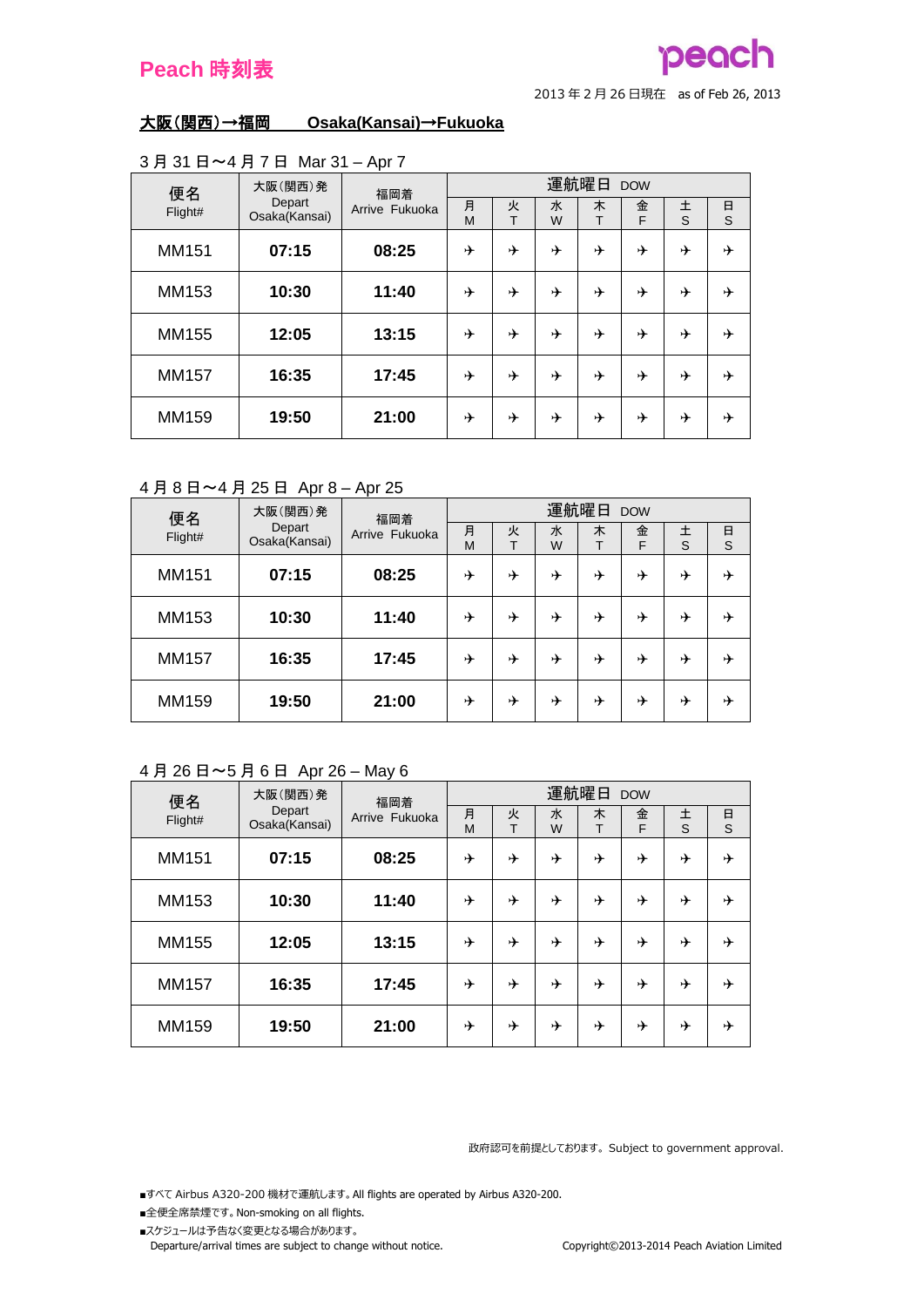## pead

<sup>2013</sup> <sup>年</sup> <sup>2</sup> <sup>月</sup> <sup>26</sup> 日現在 as of Feb 26, 2013

## 大阪(関西)→福岡 **Osaka(Kansai)**→**Fukuoka**

| 便名      | 大阪(関西)発<br>福岡着          |                | 運航曜日<br><b>DOW</b> |        |        |        |        |        |             |  |  |
|---------|-------------------------|----------------|--------------------|--------|--------|--------|--------|--------|-------------|--|--|
| Flight# | Depart<br>Osaka(Kansai) | Arrive Fukuoka | 月<br>M             | 火<br>T | 水<br>W | 木<br>т | 金<br>F | 土<br>S | $\Box$<br>S |  |  |
| MM151   | 07:15                   | 08:25          | ⊁                  | ⊁      | ⊁      | ⊁      | ⊁      | ⊁      | ⊁           |  |  |
| MM153   | 10:30                   | 11:40          | ⊁                  | ⊁      | ⊁      | ⊁      | →      | ⊁      | ⊁           |  |  |
| MM155   | 12:05                   | 13:15          | ⊁                  | ⊁      | ⊁      | ⊁      | ⊁      | ⊁      | ⊁           |  |  |
| MM157   | 16:35                   | 17:45          | ⊁                  | ⊁      | ⊁      | ⊁      | ⊁      | ⊁      | ⊁           |  |  |
| MM159   | 19:50                   | 21:00          | ⊁                  | ⊁      | ⊁      | ⊁      | ⊁      | ⊁      | ⊁           |  |  |

#### 3 月 31 日~4 月 7 日 Mar 31 – Apr 7

## 4 月 8 日~4 月 25 日 Apr 8 – Apr 25

| 便名           | 大阪(関西)発                 | 福岡着            | 運航曜日<br><b>DOW</b> |        |        |        |        |        |        |  |  |
|--------------|-------------------------|----------------|--------------------|--------|--------|--------|--------|--------|--------|--|--|
| Flight#      | Depart<br>Osaka(Kansai) | Arrive Fukuoka | 月<br>M             | 火<br>т | 水<br>W | 木<br>т | 金<br>F | 土<br>S | 日<br>S |  |  |
| MM151        | 07:15                   | 08:25          | ⊁                  | ⊁      | ⊁      | ⊁      | ⊁      | ⊁      | ⊁      |  |  |
| MM153        | 10:30                   | 11:40          | ⊁                  | ⊁      | ⊁      | ⊁      | ⊁      | ⊁      | ⊁      |  |  |
| <b>MM157</b> | 16:35                   | 17:45          | ⊁                  | ⊁      | ⊁      | ⊁      | ⊁      | ⊁      | ⊁      |  |  |
| MM159        | 19:50                   | 21:00          | ⊁                  | ⊁      | ⊁      | ⊁      | ⊁      | ⊁      | ⊁      |  |  |

## 4 月 26 日~5 月 6 日 Apr 26 – May 6

| 便名           | 大阪(関西)発                 | 福岡着            | 運航曜日<br><b>DOW</b> |        |        |        |        |        |        |  |  |
|--------------|-------------------------|----------------|--------------------|--------|--------|--------|--------|--------|--------|--|--|
| Flight#      | Depart<br>Osaka(Kansai) | Arrive Fukuoka | 月<br>M             | 火<br>Т | 水<br>W | 木<br>т | 金<br>F | 土<br>S | 日<br>S |  |  |
| MM151        | 07:15                   | 08:25          | ⊁                  | ⊁      | ⊁      | ⊁      | ⊁      | ⊁      | ⊁      |  |  |
| MM153        | 10:30                   | 11:40          | ⊁                  | ⊁      |        | ⊁      | ⊁      | ⊁      | ⊁      |  |  |
| MM155        | 12:05                   | 13:15          | ⊁                  | ⊁      |        | ⊁      | ⊁      | ⊁      | ⊁      |  |  |
| <b>MM157</b> | 16:35                   | 17:45          | ⊁                  | ⊁      | ⊁      | ⊁      | ⊁      | ⊁      | ⊁      |  |  |
| MM159        | 19:50                   | 21:00          | ⊁                  | ⊁      | ⊁      | ⊁      | ⊁      | ⊁      | ⊁      |  |  |

政府認可を前提としております。 Subject to government approval.

■すべて Airbus A320-200 機材で運航します。 All flights are operated by Airbus A320-200.

- ■全便全席禁煙です。 Non-smoking on all flights.
- ■スケジュールは予告なく変更となる場合があります。

Departure/arrival times are subject to change without notice. Copyright©2013-2014 Peach Aviation Limited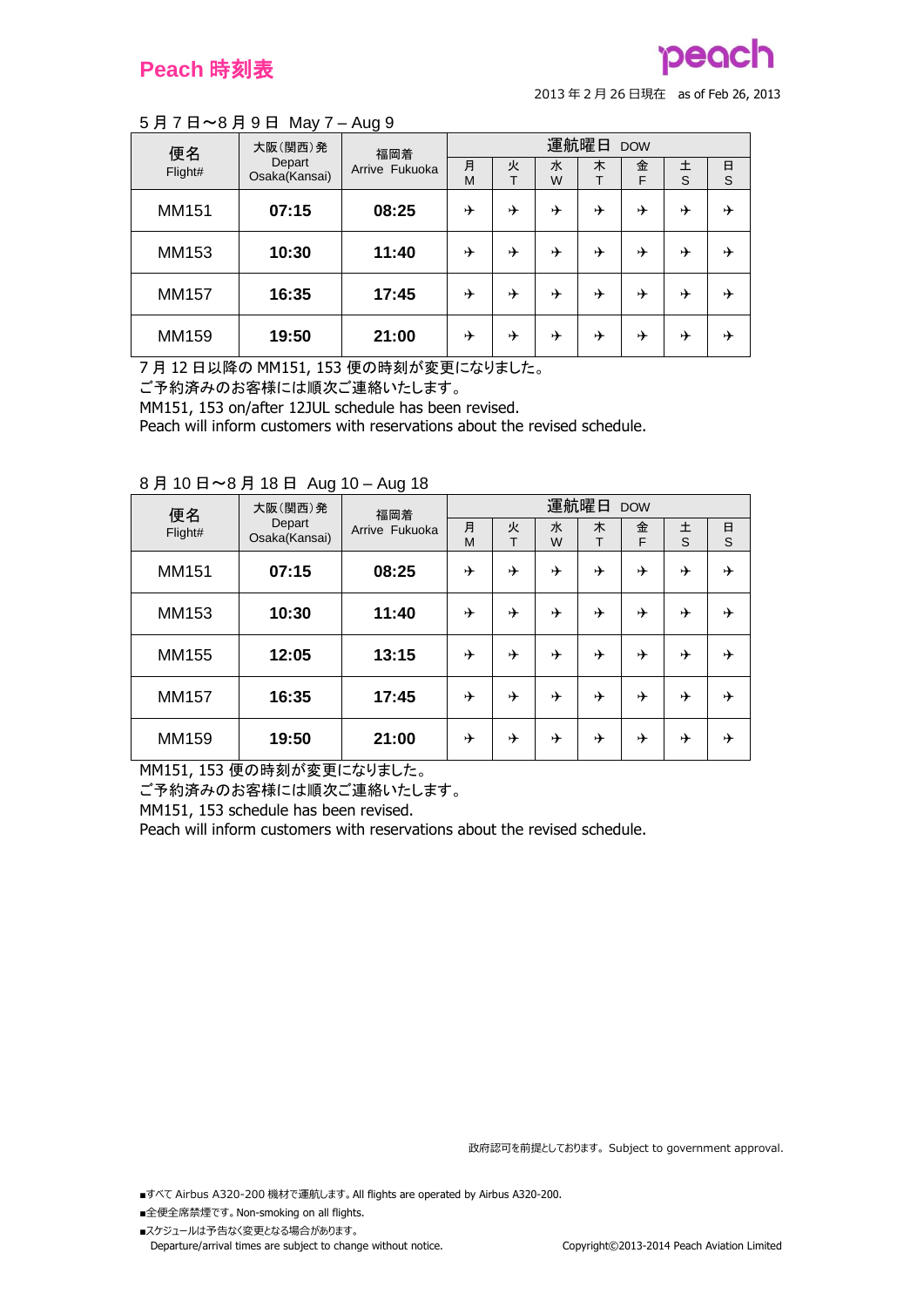# peach

<sup>2013</sup> <sup>年</sup> <sup>2</sup> <sup>月</sup> <sup>26</sup> 日現在 as of Feb 26, 2013

### 5 月 7 日~8 月 9 日 May 7 – Aug 9

| 便名      | 大阪(関西)発                 | 福岡着            | 運航曜日<br><b>DOW</b> |        |        |   |        |        |        |  |  |
|---------|-------------------------|----------------|--------------------|--------|--------|---|--------|--------|--------|--|--|
| Flight# | Depart<br>Osaka(Kansai) | Arrive Fukuoka | 月<br>M             | 火<br>᠇ | 水<br>W | 木 | 金<br>F | 土<br>S | 日<br>S |  |  |
| MM151   | 07:15                   | 08:25          | ⊁                  | ⊁      | ⊁      | ⊁ | ⊁      | ⊁      | ⊁      |  |  |
| MM153   | 10:30                   | 11:40          | ⊁                  | ⊁      | ⊁      | ⊁ | ⊁      | ⊁      | ⊁      |  |  |
| MM157   | 16:35                   | 17:45          | ⊁                  | ⊁      | ⊁      | ⊁ | ⊁      | ⊁      | ⊁      |  |  |
| MM159   | 19:50                   | 21:00          | ⊁                  | ⊁      | ⊁      | ⊁ | ⊁      | ⊁      | ⊁      |  |  |

7 月 12 日以降の MM151, 153 便の時刻が変更になりました。

ご予約済みのお客様には順次ご連絡いたします。

MM151, 153 on/after 12JUL schedule has been revised.

Peach will inform customers with reservations about the revised schedule.

| 便名      | 大阪(関西)発                 | 福岡着            | 運航曜日<br><b>DOW</b> |        |        |        |        |        |        |  |
|---------|-------------------------|----------------|--------------------|--------|--------|--------|--------|--------|--------|--|
| Flight# | Depart<br>Osaka(Kansai) | Arrive Fukuoka | 月<br>M             | 火<br>т | 水<br>W | 木<br>T | 金<br>F | 土<br>S | 日<br>S |  |
| MM151   | 07:15                   | 08:25          | ⊁                  | ⊁      | ⊁      | ⊁      | ⊁      | ⊁      | ⊁      |  |
| MM153   | 10:30                   | 11:40          | ⊁                  | ⊁      | ⊁      | ⊁      | ⊁      | ⊁      | ⊁      |  |
| MM155   | 12:05                   | 13:15          | ⊁                  | ⊁      | ⊁      | ⊁      | ⊁      | ⊁      | ⊁      |  |
| MM157   | 16:35                   | 17:45          | ⊁                  | ⊁      |        | ⊁      | ⊁      | ⊁      | ⊁      |  |
| MM159   | 19:50                   | 21:00          | ⊁                  | ⊁      | ⊁      | ⊁      | ⊁      | ⊁      | ⊁      |  |

#### 8 月 10 日~8 月 18 日 Aug 10 – Aug 18

MM151, 153 便の時刻が変更になりました。

ご予約済みのお客様には順次ご連絡いたします。

MM151, 153 schedule has been revised.

Peach will inform customers with reservations about the revised schedule.

政府認可を前提としております。 Subject to government approval.

■すべて Airbus A320-200 機材で運航します。 All flights are operated by Airbus A320-200.

■全便全席禁煙です。 Non-smoking on all flights.

■スケジュールは予告なく変更となる場合があります。 Departure/arrival times are subject to change without notice. Copyright©2013-2014 Peach Aviation Limited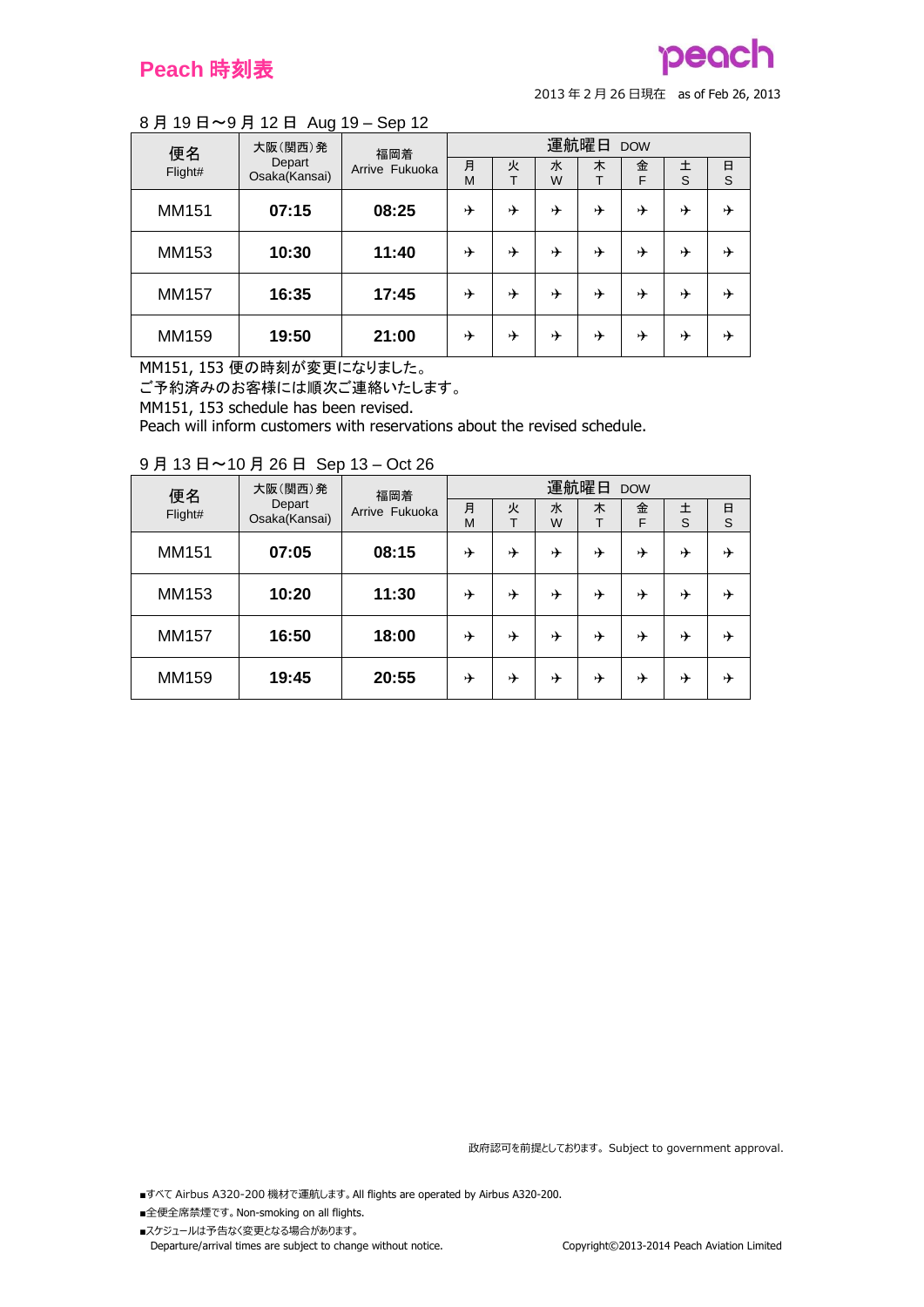# pego

<sup>2013</sup> <sup>年</sup> <sup>2</sup> <sup>月</sup> <sup>26</sup> 日現在 as of Feb 26, 2013

## 8 月 19 日~9 月 12 日 Aug 19 – Sep 12

| 便名      | 大阪(関西)発                 | 福岡着            | 運航曜日<br><b>DOW</b> |        |        |   |        |        |        |  |
|---------|-------------------------|----------------|--------------------|--------|--------|---|--------|--------|--------|--|
| Flight# | Depart<br>Osaka(Kansai) | Arrive Fukuoka | 月<br>M             | 火<br>т | 水<br>W | 木 | 金<br>F | 土<br>S | 日<br>S |  |
| MM151   | 07:15                   | 08:25          | ⊁                  | ⊁      | ⊁      | ⊁ | ⊁      | ⊁      | ⊁      |  |
| MM153   | 10:30                   | 11:40          | ⊁                  | ⊁      | ⊁      | ⊁ | ⊁      | ⊁      | ⊁      |  |
| MM157   | 16:35                   | 17:45          | ⊁                  | ⊁      | ⊁      | ⊁ | ⊁      | ⊁      | ⊁      |  |
| MM159   | 19:50                   | 21:00          | ⊁                  | ⊁      | →      | ⊁ | ⊁      | ⊁      | ⊁      |  |

MM151, 153 便の時刻が変更になりました。

ご予約済みのお客様には順次ご連絡いたします。

MM151, 153 schedule has been revised.

Peach will inform customers with reservations about the revised schedule.

| 便名      | 大阪(関西)発                 | 福岡着            |        | 運航曜日 DOW |        |   |        |        |        |  |  |
|---------|-------------------------|----------------|--------|----------|--------|---|--------|--------|--------|--|--|
| Flight# | Depart<br>Osaka(Kansai) | Arrive Fukuoka | 月<br>M | 火<br>т   | 水<br>W | 木 | 金<br>F | 土<br>S | 日<br>S |  |  |
| MM151   | 07:05                   | 08:15          | ⊁      | ⊁        | ⊁      | ⊁ | ⊁      | ⊁      | ⊁      |  |  |
| MM153   | 10:20                   | 11:30          | ⊁      | ⊁        | ⊁      | ⊁ | ⊁      | ⊁      | ⊁      |  |  |
| MM157   | 16:50                   | 18:00          | ⊁      | ⊁        | ⊁      | ⊁ | ⊁      | ⊁      | ⊁      |  |  |
| MM159   | 19:45                   | 20:55          | ⊁      | ⊁        | ⊁      | ⊁ | ⊁      | ⊁      | ⊁      |  |  |

### 9 月 13 日~10 月 26 日 Sep 13 – Oct 26

政府認可を前提としております。 Subject to government approval.

■すべて Airbus A320-200 機材で運航します。 All flights are operated by Airbus A320-200.

- ■全便全席禁煙です。 Non-smoking on all flights.
- ■スケジュールは予告なく変更となる場合があります。 Departure/arrival times are subject to change without notice. Copyright©2013-2014 Peach Aviation Limited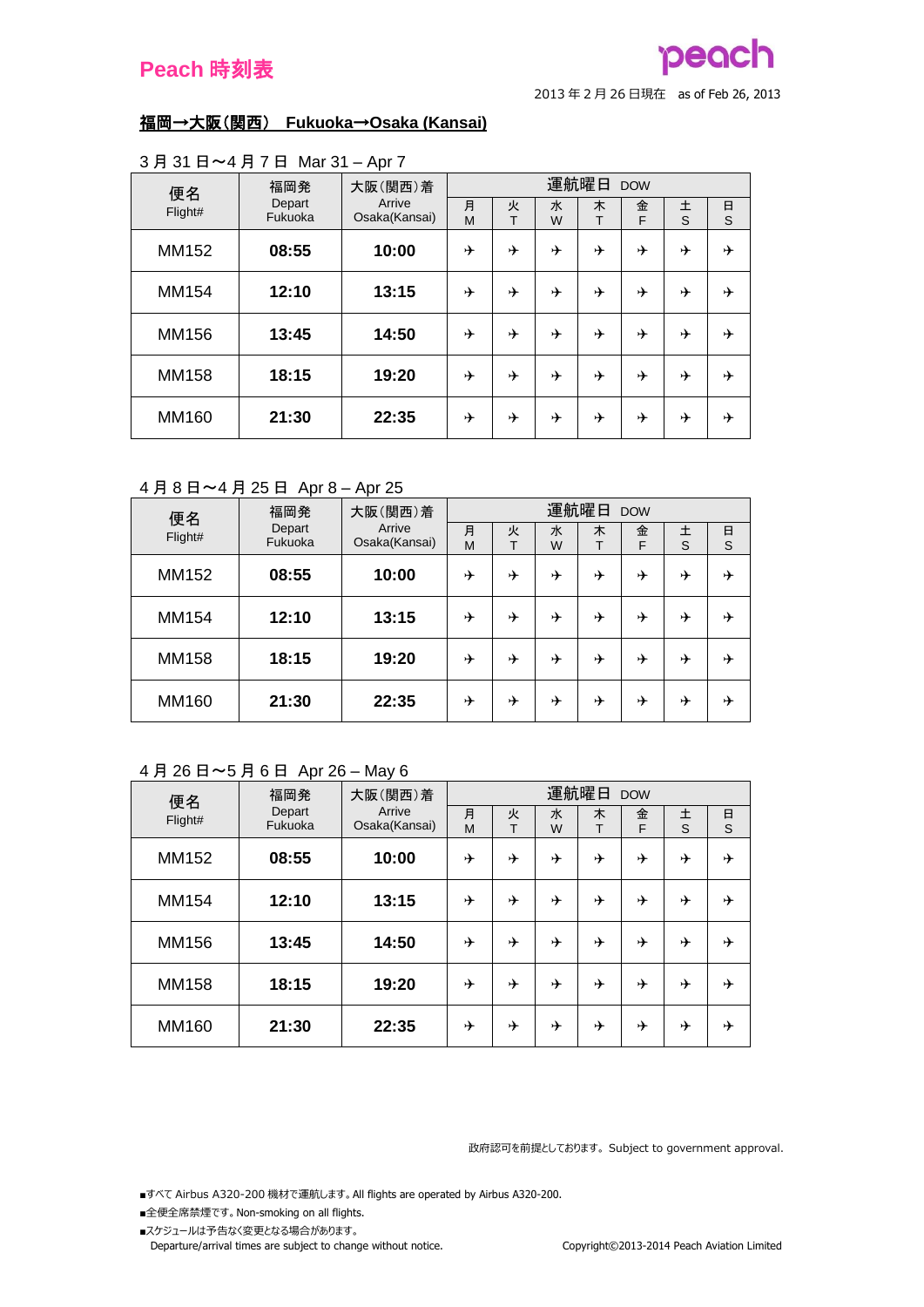## pead

<sup>2013</sup> <sup>年</sup> <sup>2</sup> <sup>月</sup> <sup>26</sup> 日現在 as of Feb 26, 2013

### 福岡→大阪(関西) **Fukuoka**→**Osaka (Kansai)**

| 便名      | 福岡発               | 大阪(関西)着                 |        |        |        | 運航曜日 DOW |        |        |        |
|---------|-------------------|-------------------------|--------|--------|--------|----------|--------|--------|--------|
| Flight# | Depart<br>Fukuoka | Arrive<br>Osaka(Kansai) | 月<br>M | 火<br>Т | 水<br>W | 木<br>T   | 金<br>F | 土<br>S | 日<br>S |
|         |                   |                         |        |        |        |          |        |        |        |
| MM152   | 08:55             | 10:00                   | ⊁      | ⊁      | ⊁      | ⊁        | ⊁      | ⊁      | ⊁      |
| MM154   | 12:10             | 13:15                   | ⊁      | ⊁      | ⊁      | ⊁        | ⊁      | ⊁      | ⊁      |
| MM156   | 13:45             | 14:50                   | ⊁      | ⊁      | ⊁      | ⊁        | ⊁      | ⊁      | ⊁      |
| MM158   | 18:15             | 19:20                   | ⊁      | ⊁      | ⊁      | ⊁        | ⊁      | ⊁      | ⊁      |
| MM160   | 21:30             | 22:35                   | ⊁      | ⊁      | ⊁      | ⊁        | ⊁      | ⊁      | ⊁      |

#### 3 月 31 日~4 月 7 日 Mar 31 – Apr 7

4 月 8 日~4 月 25 日 Apr 8 – Apr 25

| 便名      | 福岡発               | 大阪(関西)着                 | 運航曜日<br><b>DOW</b> |        |        |        |        |        |        |  |
|---------|-------------------|-------------------------|--------------------|--------|--------|--------|--------|--------|--------|--|
| Flight# | Depart<br>Fukuoka | Arrive<br>Osaka(Kansai) | 月<br>M             | 火<br>т | 水<br>W | 木<br>т | 金<br>F | 土<br>S | 日<br>S |  |
| MM152   | 08:55             | 10:00                   | ⊁                  | ⊁      | ⊁      | ⊁      | ⊁      | ⊁      | ⊁      |  |
| MM154   | 12:10             | 13:15                   | ⊁                  | ⊁      | ⊁      | ⊁      | ⊁      | ⊁      | ⊁      |  |
| MM158   | 18:15             | 19:20                   | ⊁                  | ⊁      | ⊁      | ⊁      | ⊁      | ⊁      | ⊁      |  |
| MM160   | 21:30             | 22:35                   | ⊁                  | ⊁      | ⊁      | ⊁      | ⊁      | ⊁      | ⊁      |  |

## 4 月 26 日~5 月 6 日 Apr 26 – May 6

| 便名      | 福岡発               | 大阪(関西)着                 | 運航曜日<br><b>DOW</b> |        |        |        |        |        |        |  |  |
|---------|-------------------|-------------------------|--------------------|--------|--------|--------|--------|--------|--------|--|--|
| Flight# | Depart<br>Fukuoka | Arrive<br>Osaka(Kansai) | 月<br>M             | 火<br>т | 水<br>W | 木<br>т | 金<br>F | 土<br>S | 日<br>S |  |  |
| MM152   | 08:55             | 10:00                   | ⊁                  | ⊁      | ⊁      | ⊁      | ⊁      | ⊁      | ⊁      |  |  |
| MM154   | 12:10             | 13:15                   | ⊁                  | ⊁      | ⊁      | ⊁      | ⊁      | ⊁      | ⊁      |  |  |
| MM156   | 13:45             | 14:50                   | ⊁                  | ⊁      |        | ⊁      | ⊁      | ⊁      | ⊁      |  |  |
| MM158   | 18:15             | 19:20                   | ⊁                  | ⊁      | ⊁      | ⊁      | ⊁      | ⊁      | ⊁      |  |  |
| MM160   | 21:30             | 22:35                   | ⊁                  | ⊁      | ⊁      | ⊁      | ⊁      | ⊁      | ⊁      |  |  |

政府認可を前提としております。 Subject to government approval.

■すべて Airbus A320-200 機材で運航します。 All flights are operated by Airbus A320-200.

- ■全便全席禁煙です。 Non-smoking on all flights.
- ■スケジュールは予告なく変更となる場合があります。

Departure/arrival times are subject to change without notice. Copyright©2013-2014 Peach Aviation Limited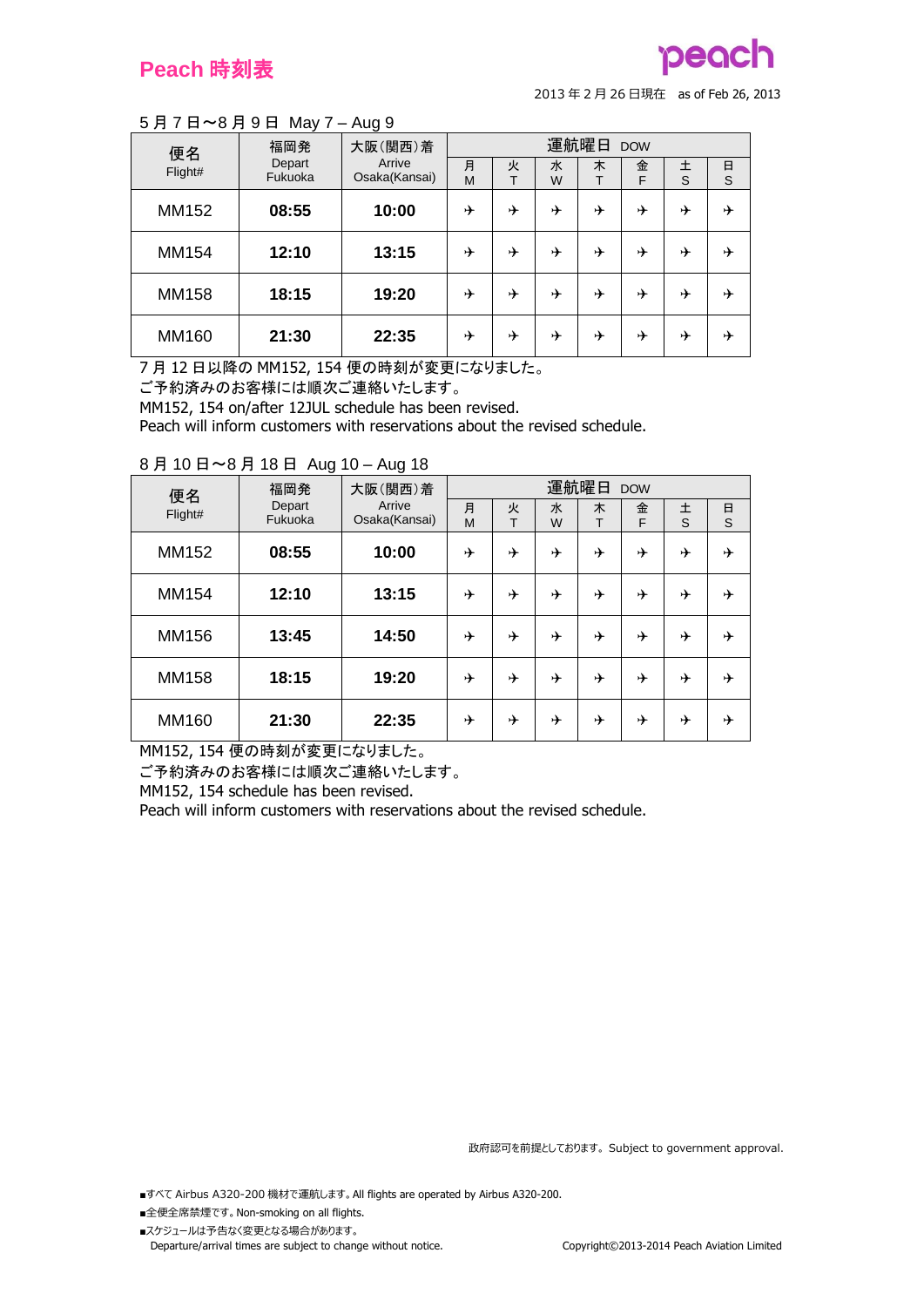# peach

<sup>2013</sup> <sup>年</sup> <sup>2</sup> <sup>月</sup> <sup>26</sup> 日現在 as of Feb 26, 2013

### 5 月 7 日~8 月 9 日 May 7 – Aug 9

| 便名      | 福岡発               | 大阪(関西)着                 | 運航曜日<br><b>DOW</b> |        |        |   |        |        |        |  |  |
|---------|-------------------|-------------------------|--------------------|--------|--------|---|--------|--------|--------|--|--|
| Flight# | Depart<br>Fukuoka | Arrive<br>Osaka(Kansai) | 月<br>M             | 火<br>т | 水<br>W | 木 | 金<br>F | 土<br>S | 日<br>S |  |  |
| MM152   | 08:55             | 10:00                   | ⊁                  | ⊁      | ⊁      | ⊁ | ⊁      | ⊁      | ⊁      |  |  |
| MM154   | 12:10             | 13:15                   | ⊁                  | ⊁      | ⊁      | ⊁ | ⊁      | ⊁      | ⊁      |  |  |
| MM158   | 18:15             | 19:20                   | ⊁                  | ⊁      | ⊁      | ⊁ | ⊁      | ⊁      | ⊁      |  |  |
| MM160   | 21:30             | 22:35                   | ⊁                  | ⊁      | ⊁      | ⊁ | ⊁      | ⊁      | ⊁      |  |  |

7 月 12 日以降の MM152, 154 便の時刻が変更になりました。

ご予約済みのお客様には順次ご連絡いたします。

MM152, 154 on/after 12JUL schedule has been revised.

Peach will inform customers with reservations about the revised schedule.

| 便名      | 福岡発               | 大阪(関西)着                 |        |        |        | 運航曜日   | <b>DOW</b> |        |        |
|---------|-------------------|-------------------------|--------|--------|--------|--------|------------|--------|--------|
| Flight# | Depart<br>Fukuoka | Arrive<br>Osaka(Kansai) | 月<br>M | 火<br>Т | 水<br>W | 木<br>T | 金<br>F     | 土<br>S | 日<br>S |
| MM152   | 08:55             | 10:00                   | ⊁      | ⊁      | ⊁      | ⊁      | ⊁          | ⊁      | ⊁      |
| MM154   | 12:10             | 13:15                   | ⊁      | ⊁      | ⊁      | ⊁      | ⊁          | ⊁      | ⊁      |
| MM156   | 13:45             | 14:50                   | ⊁      | ⊁      | ⊁      | ⊁      | ⊁          | ⊁      | ⊁      |
| MM158   | 18:15             | 19:20                   | ⊁      | ⊁      | ⊁      | ⊁      | ⊁          | ⊁      | ⊁      |
| MM160   | 21:30             | 22:35                   | ⊁      | ⊁      | →      | ⊁      | ⊁          | ⊁      | ⊁      |

#### 8 月 10 日~8 月 18 日 Aug 10 – Aug 18

MM152, 154 便の時刻が変更になりました。

ご予約済みのお客様には順次ご連絡いたします。

MM152, 154 schedule has been revised.

Peach will inform customers with reservations about the revised schedule.

政府認可を前提としております。 Subject to government approval.

■すべて Airbus A320-200 機材で運航します。 All flights are operated by Airbus A320-200.

- ■全便全席禁煙です。 Non-smoking on all flights.
- ■スケジュールは予告なく変更となる場合があります。 Departure/arrival times are subject to change without notice. Copyright©2013-2014 Peach Aviation Limited